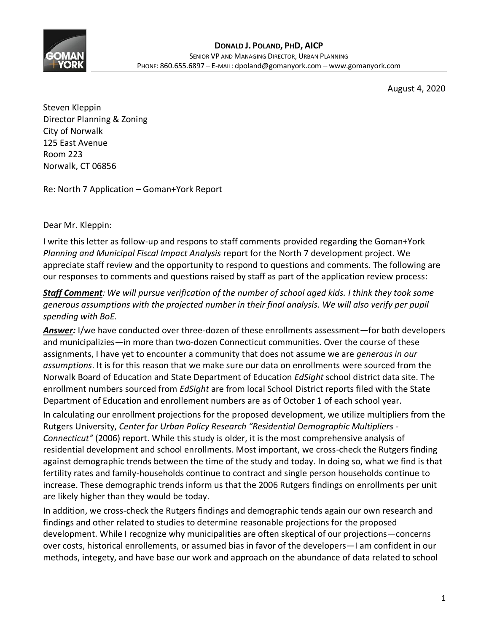

August 4, 2020

Steven Kleppin Director Planning & Zoning City of Norwalk 125 East Avenue Room 223 Norwalk, CT 06856

Re: North 7 Application – Goman+York Report

Dear Mr. Kleppin:

I write this letter as follow-up and respons to staff comments provided regarding the Goman+York *Planning and Municipal Fiscal Impact Analysis* report for the North 7 development project. We appreciate staff review and the opportunity to respond to questions and comments. The following are our responses to comments and questions raised by staff as part of the application review process:

#### *Staff Comment: We will pursue verification of the number of school aged kids. I think they took some generous assumptions with the projected number in their final analysis. We will also verify per pupil spending with BoE.*

*Answer:* I/we have conducted over three-dozen of these enrollments assessment—for both developers and municipalizies—in more than two-dozen Connecticut communities. Over the course of these assignments, I have yet to encounter a community that does not assume we are *generous in our assumptions*. It is for this reason that we make sure our data on enrollments were sourced from the Norwalk Board of Education and State Department of Education *EdSight* school district data site. The enrollment numbers sourced from *EdSight* are from local School District reports filed with the State Department of Education and enrollement numbers are as of October 1 of each school year.

In calculating our enrollment projections for the proposed development, we utilize multipliers from the Rutgers University, *Center for Urban Policy Research "Residential Demographic Multipliers - Connecticut"* (2006) report. While this study is older, it is the most comprehensive analysis of residential development and school enrollments. Most important, we cross-check the Rutgers finding against demographic trends between the time of the study and today. In doing so, what we find is that fertility rates and family-households continue to contract and single person households continue to increase. These demographic trends inform us that the 2006 Rutgers findings on enrollments per unit are likely higher than they would be today.

In addition, we cross-check the Rutgers findings and demographic tends again our own research and findings and other related to studies to determine reasonable projections for the proposed development. While I recognize why municipalities are often skeptical of our projections—concerns over costs, historical enrollements, or assumed bias in favor of the developers—I am confident in our methods, integety, and have base our work and approach on the abundance of data related to school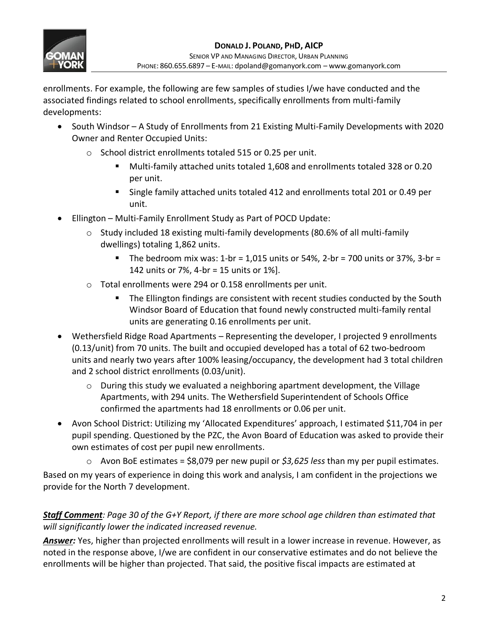

enrollments. For example, the following are few samples of studies I/we have conducted and the associated findings related to school enrollments, specifically enrollments from multi-family developments:

- South Windsor A Study of Enrollments from 21 Existing Multi-Family Developments with 2020 Owner and Renter Occupied Units:
	- o School district enrollments totaled 515 or 0.25 per unit.
		- Multi-family attached units totaled 1,608 and enrollments totaled 328 or 0.20 per unit.
		- Single family attached units totaled 412 and enrollments total 201 or 0.49 per unit.
- Ellington Multi-Family Enrollment Study as Part of POCD Update:
	- o Study included 18 existing multi-family developments (80.6% of all multi-family dwellings) totaling 1,862 units.
		- **The bedroom mix was: 1-br = 1,015 units or 54%, 2-br = 700 units or 37%, 3-br =** 142 units or 7%, 4-br = 15 units or 1%].
	- o Total enrollments were 294 or 0.158 enrollments per unit.
		- The Ellington findings are consistent with recent studies conducted by the South Windsor Board of Education that found newly constructed multi-family rental units are generating 0.16 enrollments per unit.
- Wethersfield Ridge Road Apartments Representing the developer, I projected 9 enrollments (0.13/unit) from 70 units. The built and occupied developed has a total of 62 two-bedroom units and nearly two years after 100% leasing/occupancy, the development had 3 total children and 2 school district enrollments (0.03/unit).
	- $\circ$  During this study we evaluated a neighboring apartment development, the Village Apartments, with 294 units. The Wethersfield Superintendent of Schools Office confirmed the apartments had 18 enrollments or 0.06 per unit.
- Avon School District: Utilizing my 'Allocated Expenditures' approach, I estimated \$11,704 in per pupil spending. Questioned by the PZC, the Avon Board of Education was asked to provide their own estimates of cost per pupil new enrollments.
	- o Avon BoE estimates = \$8,079 per new pupil or *\$3,625 less* than my per pupil estimates.

Based on my years of experience in doing this work and analysis, I am confident in the projections we provide for the North 7 development.

# *Staff Comment: Page 30 of the G+Y Report, if there are more school age children than estimated that will significantly lower the indicated increased revenue.*

*Answer:* Yes, higher than projected enrollments will result in a lower increase in revenue. However, as noted in the response above, I/we are confident in our conservative estimates and do not believe the enrollments will be higher than projected. That said, the positive fiscal impacts are estimated at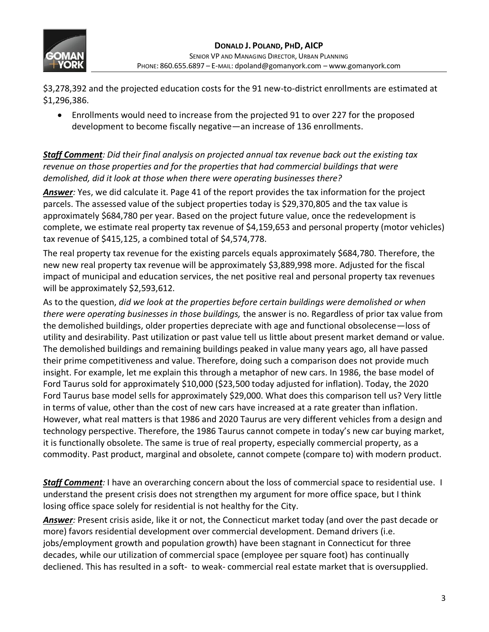

\$3,278,392 and the projected education costs for the 91 new-to-district enrollments are estimated at \$1,296,386.

• Enrollments would need to increase from the projected 91 to over 227 for the proposed development to become fiscally negative—an increase of 136 enrollments.

*Staff Comment: Did their final analysis on projected annual tax revenue back out the existing tax revenue on those properties and for the properties that had commercial buildings that were demolished, did it look at those when there were operating businesses there?*

*Answer:* Yes, we did calculate it. Page 41 of the report provides the tax information for the project parcels. The assessed value of the subject properties today is \$29,370,805 and the tax value is approximately \$684,780 per year. Based on the project future value, once the redevelopment is complete, we estimate real property tax revenue of \$4,159,653 and personal property (motor vehicles) tax revenue of \$415,125, a combined total of \$4,574,778.

The real property tax revenue for the existing parcels equals approximately \$684,780. Therefore, the new new real property tax revenue will be approximately \$3,889,998 more. Adjusted for the fiscal impact of municipal and education services, the net positive real and personal property tax revenues will be approximately \$2,593,612.

As to the question, *did we look at the properties before certain buildings were demolished or when there were operating businesses in those buildings,* the answer is no. Regardless of prior tax value from the demolished buildings, older properties depreciate with age and functional obsolecense—loss of utility and desirability. Past utilization or past value tell us little about present market demand or value. The demolished buildings and remaining buildings peaked in value many years ago, all have passed their prime competitiveness and value. Therefore, doing such a comparison does not provide much insight. For example, let me explain this through a metaphor of new cars. In 1986, the base model of Ford Taurus sold for approximately \$10,000 (\$23,500 today adjusted for inflation). Today, the 2020 Ford Taurus base model sells for approximately \$29,000. What does this comparison tell us? Very little in terms of value, other than the cost of new cars have increased at a rate greater than inflation. However, what real matters is that 1986 and 2020 Taurus are very different vehicles from a design and technology perspective. Therefore, the 1986 Taurus cannot compete in today's new car buying market, it is functionally obsolete. The same is true of real property, especially commercial property, as a commodity. Past product, marginal and obsolete, cannot compete (compare to) with modern product.

**Staff Comment**: I have an overarching concern about the loss of commercial space to residential use. I understand the present crisis does not strengthen my argument for more office space, but I think losing office space solely for residential is not healthy for the City.

*Answer:* Present crisis aside, like it or not, the Connecticut market today (and over the past decade or more) favors residential development over commercial development. Demand drivers (i.e. jobs/employment growth and population growth) have been stagnant in Connecticut for three decades, while our utilization of commercial space (employee per square foot) has continually decliened. This has resulted in a soft- to weak- commercial real estate market that is oversupplied.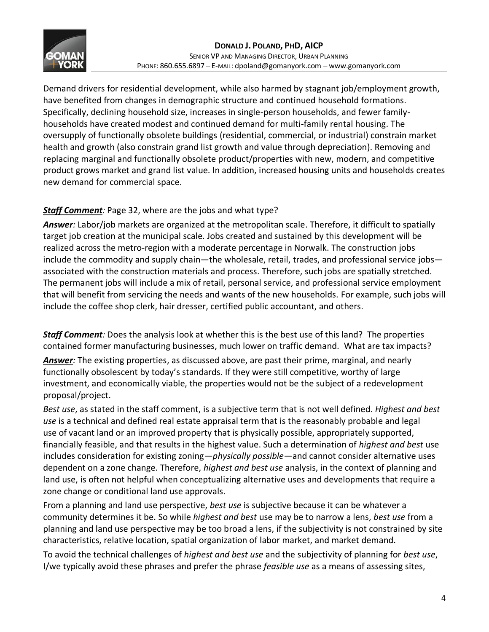

Demand drivers for residential development, while also harmed by stagnant job/employment growth, have benefited from changes in demographic structure and continued household formations. Specifically, declining household size, increases in single-person households, and fewer familyhouseholds have created modest and continued demand for multi-family rental housing. The oversupply of functionally obsolete buildings (residential, commercial, or industrial) constrain market health and growth (also constrain grand list growth and value through depreciation). Removing and replacing marginal and functionally obsolete product/properties with new, modern, and competitive product grows market and grand list value. In addition, increased housing units and households creates new demand for commercial space.

# *Staff Comment:* Page 32, where are the jobs and what type?

*Answer:* Labor/job markets are organized at the metropolitan scale. Therefore, it difficult to spatially target job creation at the municipal scale. Jobs created and sustained by this development will be realized across the metro-region with a moderate percentage in Norwalk. The construction jobs include the commodity and supply chain—the wholesale, retail, trades, and professional service jobs associated with the construction materials and process. Therefore, such jobs are spatially stretched. The permanent jobs will include a mix of retail, personal service, and professional service employment that will benefit from servicing the needs and wants of the new households. For example, such jobs will include the coffee shop clerk, hair dresser, certified public accountant, and others.

*Staff Comment:* Does the analysis look at whether this is the best use of this land? The properties contained former manufacturing businesses, much lower on traffic demand. What are tax impacts? *Answer:* The existing properties, as discussed above, are past their prime, marginal, and nearly functionally obsolescent by today's standards. If they were still competitive, worthy of large investment, and economically viable, the properties would not be the subject of a redevelopment proposal/project.

*Best use*, as stated in the staff comment, is a subjective term that is not well defined. *Highest and best use* is a technical and defined real estate appraisal term that is the reasonably probable and legal use of vacant land or an improved property that is physically possible, appropriately supported, financially feasible, and that results in the highest value. Such a determination of *highest and best* use includes consideration for existing zoning—*physically possible*—and cannot consider alternative uses dependent on a zone change. Therefore, *highest and best use* analysis, in the context of planning and land use, is often not helpful when conceptualizing alternative uses and developments that require a zone change or conditional land use approvals.

From a planning and land use perspective, *best use* is subjective because it can be whatever a community determines it be. So while *highest and best* use may be to narrow a lens, *best use* from a planning and land use perspective may be too broad a lens, if the subjectivity is not constrained by site characteristics, relative location, spatial organization of labor market, and market demand.

To avoid the technical challenges of *highest and best use* and the subjectivity of planning for *best use*, I/we typically avoid these phrases and prefer the phrase *feasible use* as a means of assessing sites,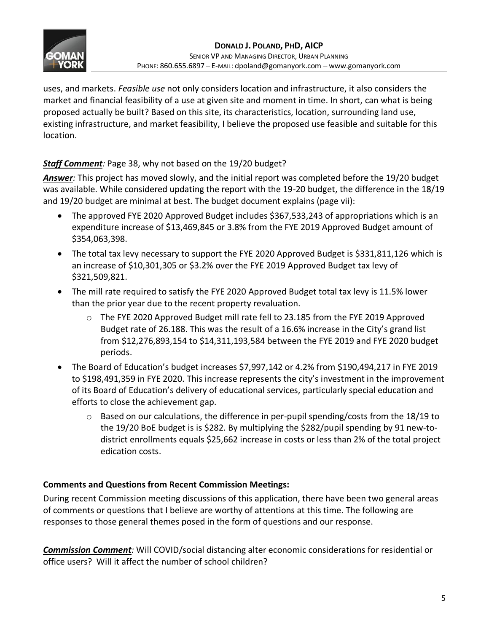

uses, and markets. *Feasible use* not only considers location and infrastructure, it also considers the market and financial feasibility of a use at given site and moment in time. In short, can what is being proposed actually be built? Based on this site, its characteristics, location, surrounding land use, existing infrastructure, and market feasibility, I believe the proposed use feasible and suitable for this location.

### *Staff Comment:* Page 38, why not based on the 19/20 budget?

*Answer:* This project has moved slowly, and the initial report was completed before the 19/20 budget was available. While considered updating the report with the 19-20 budget, the difference in the 18/19 and 19/20 budget are minimal at best. The budget document explains (page vii):

- The approved FYE 2020 Approved Budget includes \$367,533,243 of appropriations which is an expenditure increase of \$13,469,845 or 3.8% from the FYE 2019 Approved Budget amount of \$354,063,398.
- The total tax levy necessary to support the FYE 2020 Approved Budget is \$331,811,126 which is an increase of \$10,301,305 or \$3.2% over the FYE 2019 Approved Budget tax levy of \$321,509,821.
- The mill rate required to satisfy the FYE 2020 Approved Budget total tax levy is 11.5% lower than the prior year due to the recent property revaluation.
	- $\circ$  The FYE 2020 Approved Budget mill rate fell to 23.185 from the FYE 2019 Approved Budget rate of 26.188. This was the result of a 16.6% increase in the City's grand list from \$12,276,893,154 to \$14,311,193,584 between the FYE 2019 and FYE 2020 budget periods.
- The Board of Education's budget increases \$7,997,142 or 4.2% from \$190,494,217 in FYE 2019 to \$198,491,359 in FYE 2020. This increase represents the city's investment in the improvement of its Board of Education's delivery of educational services, particularly special education and efforts to close the achievement gap.
	- $\circ$  Based on our calculations, the difference in per-pupil spending/costs from the 18/19 to the 19/20 BoE budget is is \$282. By multiplying the \$282/pupil spending by 91 new-todistrict enrollments equals \$25,662 increase in costs or less than 2% of the total project edication costs.

#### **Comments and Questions from Recent Commission Meetings:**

During recent Commission meeting discussions of this application, there have been two general areas of comments or questions that I believe are worthy of attentions at this time. The following are responses to those general themes posed in the form of questions and our response.

*Commission Comment:* Will COVID/social distancing alter economic considerations for residential or office users? Will it affect the number of school children?